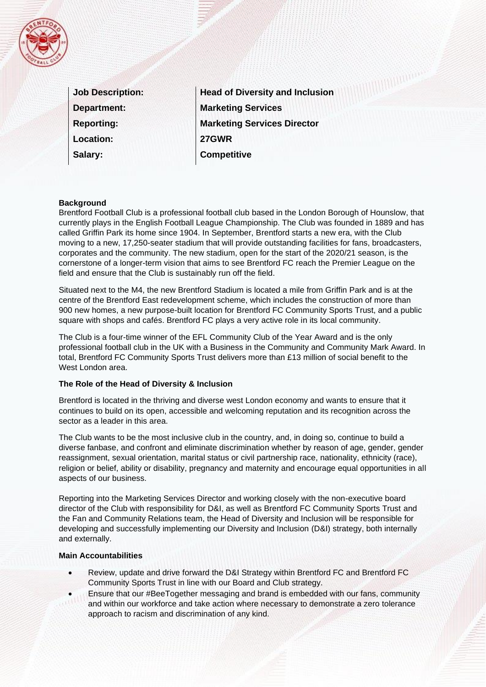

| <b>Job Description:</b> |
|-------------------------|
| <b>Department:</b>      |
| <b>Reporting:</b>       |
| <b>Location:</b>        |
| Salary:                 |

**Head of Diversity and Inclusion Marketing Services Marketing Services Director 27GWR Competitive** 

**MANAGEMENT** 

#### **Background**

Brentford Football Club is a professional football club based in the London Borough of Hounslow, that currently plays in the English Football League Championship. The Club was founded in 1889 and has called Griffin Park its home since 1904. In September, Brentford starts a new era, with the Club moving to a new, 17,250-seater stadium that will provide outstanding facilities for fans, broadcasters, corporates and the community. The new stadium, open for the start of the 2020/21 season, is the cornerstone of a longer-term vision that aims to see Brentford FC reach the Premier League on the field and ensure that the Club is sustainably run off the field.

Situated next to the M4, the new Brentford Stadium is located a mile from Griffin Park and is at the centre of the Brentford East redevelopment scheme, which includes the construction of more than 900 new homes, a new purpose-built location for Brentford FC Community Sports Trust, and a public square with shops and cafés. Brentford FC plays a very active role in its local community.

The Club is a four-time winner of the EFL Community Club of the Year Award and is the only professional football club in the UK with a Business in the Community and Community Mark Award. In total, Brentford FC Community Sports Trust delivers more than £13 million of social benefit to the West London area.

#### **The Role of the Head of Diversity & Inclusion**

Brentford is located in the thriving and diverse west London economy and wants to ensure that it continues to build on its open, accessible and welcoming reputation and its recognition across the sector as a leader in this area.

The Club wants to be the most inclusive club in the country, and, in doing so, continue to build a diverse fanbase, and confront and eliminate discrimination whether by reason of age, gender, gender reassignment, sexual orientation, marital status or civil partnership race, nationality, ethnicity (race), religion or belief, ability or disability, pregnancy and maternity and encourage equal opportunities in all aspects of our business.

Reporting into the Marketing Services Director and working closely with the non-executive board director of the Club with responsibility for D&I, as well as Brentford FC Community Sports Trust and the Fan and Community Relations team, the Head of Diversity and Inclusion will be responsible for developing and successfully implementing our Diversity and Inclusion (D&I) strategy, both internally and externally.

#### **Main Accountabilities**

- Review, update and drive forward the D&I Strategy within Brentford FC and Brentford FC Community Sports Trust in line with our Board and Club strategy.
- Ensure that our #BeeTogether messaging and brand is embedded with our fans, community
- and within our workforce and take action where necessary to demonstrate a zero tolerance approach to racism and discrimination of any kind.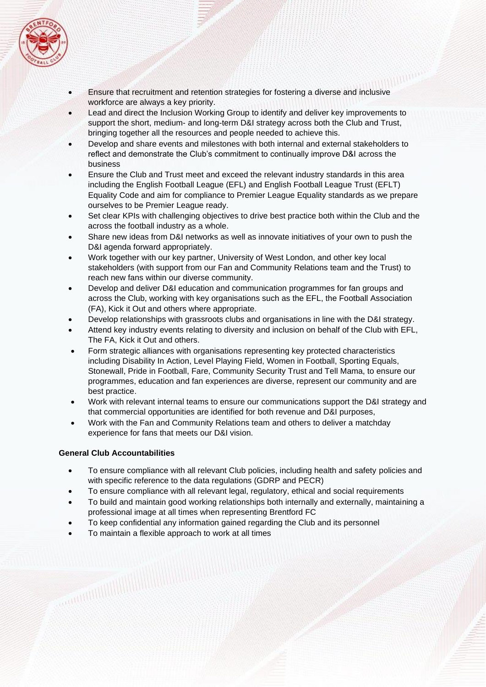

- Ensure that recruitment and retention strategies for fostering a diverse and inclusive workforce are always a key priority.
- Lead and direct the Inclusion Working Group to identify and deliver key improvements to support the short, medium- and long-term D&I strategy across both the Club and Trust, bringing together all the resources and people needed to achieve this.
- Develop and share events and milestones with both internal and external stakeholders to reflect and demonstrate the Club's commitment to continually improve D&I across the business
- Ensure the Club and Trust meet and exceed the relevant industry standards in this area including the English Football League (EFL) and English Football League Trust (EFLT) Equality Code and aim for compliance to Premier League Equality standards as we prepare ourselves to be Premier League ready.
- Set clear KPIs with challenging objectives to drive best practice both within the Club and the across the football industry as a whole.
- Share new ideas from D&I networks as well as innovate initiatives of your own to push the D&I agenda forward appropriately.
- Work together with our key partner, University of West London, and other key local stakeholders (with support from our Fan and Community Relations team and the Trust) to reach new fans within our diverse community.
- Develop and deliver D&I education and communication programmes for fan groups and across the Club, working with key organisations such as the EFL, the Football Association (FA), Kick it Out and others where appropriate.
- Develop relationships with grassroots clubs and organisations in line with the D&I strategy.
- Attend key industry events relating to diversity and inclusion on behalf of the Club with EFL, The FA, Kick it Out and others.
- Form strategic alliances with organisations representing key protected characteristics including Disability In Action, Level Playing Field, Women in Football, Sporting Equals, Stonewall, Pride in Football, Fare, Community Security Trust and Tell Mama, to ensure our programmes, education and fan experiences are diverse, represent our community and are best practice.
- Work with relevant internal teams to ensure our communications support the D&I strategy and that commercial opportunities are identified for both revenue and D&I purposes,
- Work with the Fan and Community Relations team and others to deliver a matchday experience for fans that meets our D&I vision.

## **General Club Accountabilities**

- To ensure compliance with all relevant Club policies, including health and safety policies and with specific reference to the data regulations (GDRP and PECR)
- To ensure compliance with all relevant legal, regulatory, ethical and social requirements
- To build and maintain good working relationships both internally and externally, maintaining a professional image at all times when representing Brentford FC
- To keep confidential any information gained regarding the Club and its personnel
- To maintain a flexible approach to work at all times